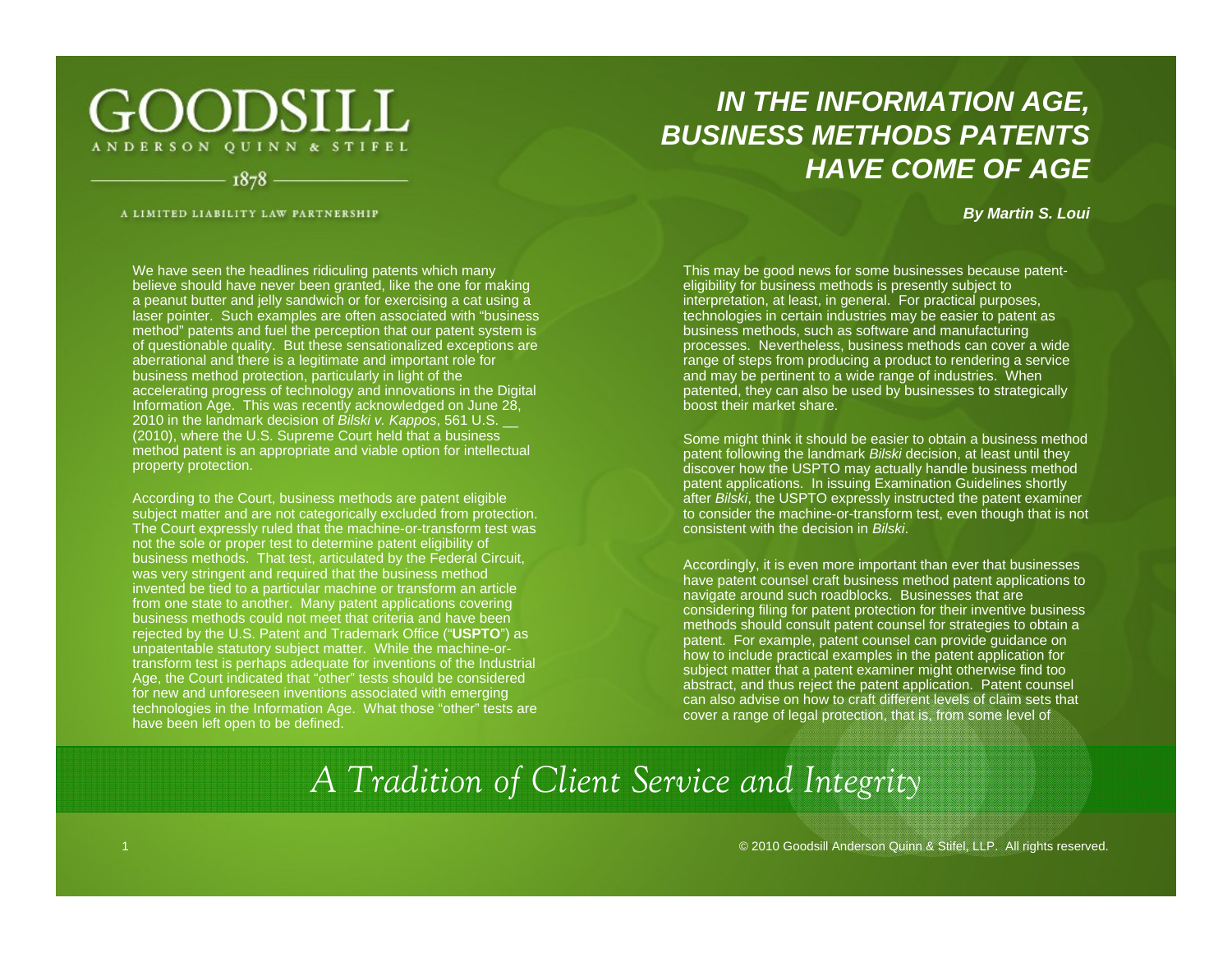## GOODSILL ANDERSON QUINN & STIFEL

1878

A LIMITED LIABILITY LAW PARTNERSHIP

### *IN THE INFORMATION AGE, BUSINESS METHODS PATENTSHAVE COME OF AGE*

#### *By Martin S. Loui*

We have seen the headlines ridiculing patents which many believe should have never been granted, like the one for making a peanut butter and jelly sandwich or for exercising a cat using <sup>a</sup> laser pointer. Such examples are often associated with "business method" patents and fuel the perception that our patent system is of questionable quality. But these sensationalized exceptions are aberrational and there is a legitimate and important role for business method protection, particularly in light of the accelerating progress of technology and innovations in the Digital Information Age. This was recently acknowledged on June 28, 2010 in the landmark decision of *Bilski v. Kappos*, 561 U.S. \_\_ (2010), where the U.S. Supreme Court held that a business method patent is an appropriate and viable option for intellectual property protection.

According to the Court, business methods are patent eligible subject matter and are not categorically excluded from protection. The Court expressly ruled that the machine-or-transform test was not the sole or proper test to determine patent eligibility of business methods. That test, articulated by the Federal Circuit, was very stringent and required that the business method invented be tied to a particular machine or transform an article from one state to another. Many patent applications covering business methods could not meet that criteria and have been rejected by the U.S. Patent and Trademark Office ("**USPTO**") as unpatentable statutory subject matter. While the machine-ortransform test is perhaps adequate for inventions of the Industrial Age, the Court indicated that "other" tests should be considered for new and unforeseen inventions associated with emerging technologies in the Information Age. What those "other" tests are have been left open to be defined.

This may be good news for some businesses because patenteligibility for business methods is presently subject to interpretation, at least, in general. For practical purposes, technologies in certain industries may be easier to patent as business methods, such as software and manufacturing processes. Nevertheless, business methods can cover a wide range of steps from producing a product to rendering a service and may be pertinent to a wide range of industries. When patented, they can also be used by businesses to strategically boost their market share.

Some might think it should be easier to obtain a business method patent following the landmark *Bilski* decision, at least until they discover how the USPTO may actually handle business method patent applications. In issuing Examination Guidelines shortly after *Bilski*, the USPTO expressly instructed the patent examiner to consider the machine-or-transform test, even though that is not consistent with the decision in *Bilski*.

Accordingly, it is even more important than ever that businesses have patent counsel craft business method patent applications to navigate around such roadblocks. Businesses that are considering filing for patent protection for their inventive business methods should consult patent counsel for strategies to obtain a patent. For example, patent counsel can provide guidance on how to include practical examples in the patent application for subject matter that a patent examiner might otherwise find too abstract, and thus reject the patent application. Patent counsel can also advise on how to craft different levels of claim sets that cover a range of legal protection, that is, from some level of

# *A Tradition of Client Service and Integrity*